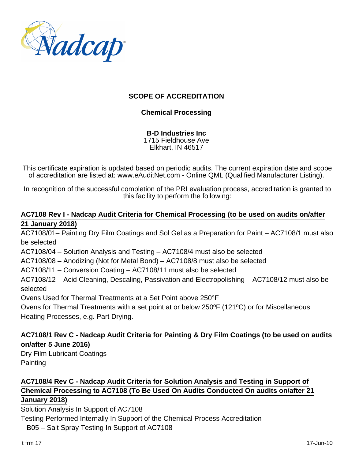

## **SCOPE OF ACCREDITATION**

### **Chemical Processing**

**B-D Industries Inc** 1715 Fieldhouse Ave Elkhart, IN 46517

This certificate expiration is updated based on periodic audits. The current expiration date and scope of accreditation are listed at: www.eAuditNet.com - Online QML (Qualified Manufacturer Listing).

In recognition of the successful completion of the PRI evaluation process, accreditation is granted to this facility to perform the following:

#### **AC7108 Rev I - Nadcap Audit Criteria for Chemical Processing (to be used on audits on/after 21 January 2018)**

AC7108/01– Painting Dry Film Coatings and Sol Gel as a Preparation for Paint – AC7108/1 must also be selected

AC7108/04 – Solution Analysis and Testing – AC7108/4 must also be selected

AC7108/08 – Anodizing (Not for Metal Bond) – AC7108/8 must also be selected

AC7108/11 – Conversion Coating – AC7108/11 must also be selected

AC7108/12 – Acid Cleaning, Descaling, Passivation and Electropolishing – AC7108/12 must also be selected

Ovens Used for Thermal Treatments at a Set Point above 250°F

Ovens for Thermal Treatments with a set point at or below 250ºF (121ºC) or for Miscellaneous Heating Processes, e.g. Part Drying.

## **AC7108/1 Rev C - Nadcap Audit Criteria for Painting & Dry Film Coatings (to be used on audits on/after 5 June 2016)**

Dry Film Lubricant Coatings **Painting** 

## **AC7108/4 Rev C - Nadcap Audit Criteria for Solution Analysis and Testing in Support of Chemical Processing to AC7108 (To Be Used On Audits Conducted On audits on/after 21 January 2018)**

Solution Analysis In Support of AC7108

Testing Performed Internally In Support of the Chemical Process Accreditation

B05 – Salt Spray Testing In Support of AC7108